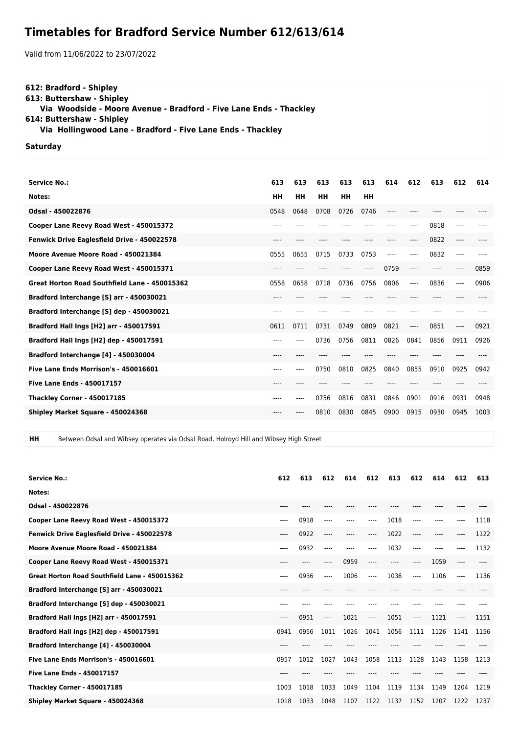## **Timetables for Bradford Service Number 612/613/614**

Valid from 11/06/2022 to 23/07/2022

## **612: Bradford - Shipley**

**613: Buttershaw - Shipley**

 **Via Woodside - Moore Avenue - Bradford - Five Lane Ends - Thackley**

**614: Buttershaw - Shipley**

 **Via Hollingwood Lane - Bradford - Five Lane Ends - Thackley**

## **Saturday**

| <b>Service No.:</b>                           | 613    | 613  | 613       | 613  | 613       | 614  | 612   | 613  | 612     | 614  |
|-----------------------------------------------|--------|------|-----------|------|-----------|------|-------|------|---------|------|
| Notes:                                        | HH     | HH   | <b>HH</b> | HH   | <b>HH</b> |      |       |      |         |      |
| Odsal - 450022876                             | 0548   | 0648 | 0708      | 0726 | 0746      | ---- |       |      |         |      |
| Cooper Lane Reevy Road West - 450015372       |        |      |           |      |           |      | ----  | 0818 | $---$   |      |
| Fenwick Drive Eaglesfield Drive - 450022578   | ----   |      |           |      |           |      | ----  | 0822 | $---$   |      |
| Moore Avenue Moore Road - 450021384           | 0555   | 0655 | 0715      | 0733 | 0753      | ---- | $---$ | 0832 | $---$   |      |
| Cooper Lane Reevy Road West - 450015371       | $---$  |      |           |      | ----      | 0759 | $---$ | ---- | $-----$ | 0859 |
| Great Horton Road Southfield Lane - 450015362 | 0558   | 0658 | 0718      | 0736 | 0756      | 0806 | $---$ | 0836 | $---$   | 0906 |
| Bradford Interchange [S] arr - 450030021      | $----$ |      |           |      |           |      |       |      |         |      |
| Bradford Interchange [S] dep - 450030021      | $---$  |      |           |      |           |      |       |      |         |      |
| Bradford Hall Ings [H2] arr - 450017591       | 0611   | 0711 | 0731      | 0749 | 0809      | 0821 | $---$ | 0851 | $---$   | 0921 |
| Bradford Hall Ings [H2] dep - 450017591       | $---$  |      | 0736      | 0756 | 0811      | 0826 | 0841  | 0856 | 0911    | 0926 |
| Bradford Interchange [4] - 450030004          | $---$  |      |           |      |           |      |       |      |         |      |
| Five Lane Ends Morrison's - 450016601         | ----   | ---- | 0750      | 0810 | 0825      | 0840 | 0855  | 0910 | 0925    | 0942 |
| <b>Five Lane Ends - 450017157</b>             | ----   |      |           |      |           |      |       |      |         |      |
| <b>Thackley Corner - 450017185</b>            | $---$  | ---- | 0756      | 0816 | 0831      | 0846 | 0901  | 0916 | 0931    | 0948 |
| Shipley Market Square - 450024368             |        |      | 0810      | 0830 | 0845      | 0900 | 0915  | 0930 | 0945    | 1003 |
|                                               |        |      |           |      |           |      |       |      |         |      |

**HH** Between Odsal and Wibsey operates via Odsal Road, Holroyd Hill and Wibsey High Street

| <b>Service No.:</b>                           | 612   | 613       | 612      | 614       | 612   | 613       | 612                      | 614   | 612      | 613  |
|-----------------------------------------------|-------|-----------|----------|-----------|-------|-----------|--------------------------|-------|----------|------|
| Notes:                                        |       |           |          |           |       |           |                          |       |          |      |
| Odsal - 450022876                             |       |           |          |           |       |           |                          |       |          |      |
| Cooper Lane Reevy Road West - 450015372       | $---$ | 0918      | ----     |           | ----  | 1018      | $---$                    | $---$ | ----     | 1118 |
| Fenwick Drive Eaglesfield Drive - 450022578   | $---$ | 0922      | ----     | $- - - -$ | ----  | 1022      | $---$                    | $---$ | ----     | 1122 |
| Moore Avenue Moore Road - 450021384           | ----  | 0932      | $---$    | ----      | ----  | 1032      | $---$                    | $---$ | ----     | 1132 |
| Cooper Lane Reevy Road West - 450015371       | $---$ | $- - - -$ | ----     | 0959      | ----  | $- - - -$ | $---$                    | 1059  | $\cdots$ | ---- |
| Great Horton Road Southfield Lane - 450015362 | ----  | 0936      | $---$    | 1006      | $---$ | 1036      | $\overline{\phantom{a}}$ | 1106  | $---$    | 1136 |
| Bradford Interchange [S] arr - 450030021      | ----  |           |          |           |       |           |                          |       |          |      |
| Bradford Interchange [S] dep - 450030021      |       |           |          |           |       |           |                          |       |          |      |
| Bradford Hall Ings [H2] arr - 450017591       | $---$ | 0951      | $\cdots$ | 1021      | ----  | 1051      | $---$                    | 1121  | ----     | 1151 |
| Bradford Hall Ings [H2] dep - 450017591       | 0941  | 0956      | 1011     | 1026      | 1041  | 1056      | 1111                     | 1126  | 1141     | 1156 |
| Bradford Interchange [4] - 450030004          |       |           |          |           |       |           |                          |       |          |      |
| Five Lane Ends Morrison's - 450016601         | 0957  | 1012      | 1027     | 1043      | 1058  | 1113      | 1128                     | 1143  | 1158     | 1213 |
| <b>Five Lane Ends - 450017157</b>             |       |           |          |           |       |           |                          |       |          |      |
| <b>Thackley Corner - 450017185</b>            | 1003  | 1018      | 1033     | 1049      | 1104  | 1119      | 1134                     | 1149  | 1204     | 1219 |
| Shipley Market Square - 450024368             | 1018  | 1033      | 1048     | 1107      | 1122  | 1137      | 1152                     | 1207  | 1222     | 1237 |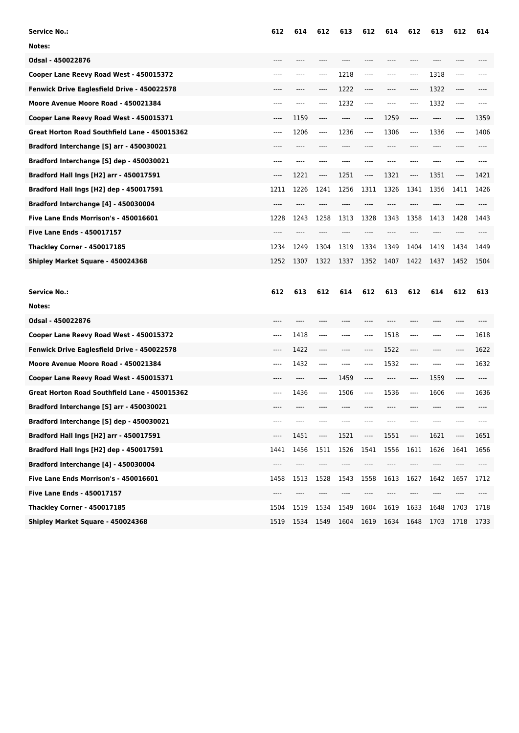| Service No.:                                  | 612      | 614  | 612      | 613  | 612     | 614  | 612     | 613                           | 612  | 614  |
|-----------------------------------------------|----------|------|----------|------|---------|------|---------|-------------------------------|------|------|
| Notes:                                        |          |      |          |      |         |      |         |                               |      |      |
| Odsal - 450022876                             |          |      |          |      |         |      |         |                               |      |      |
| Cooper Lane Reevy Road West - 450015372       | ----     |      | ----     | 1218 | ----    |      | ----    | 1318                          | ---- |      |
| Fenwick Drive Eaglesfield Drive - 450022578   |          |      | ----     | 1222 | $---$   | ---- | ----    | 1322                          | ---- |      |
| Moore Avenue Moore Road - 450021384           | $-- - -$ | ---- | ----     | 1232 | $-----$ | ---- | ----    | 1332                          | ---- |      |
| Cooper Lane Reevy Road West - 450015371       | ----     | 1159 | ----     | ---- | $---$   | 1259 | ----    | $---$                         | ---- | 1359 |
| Great Horton Road Southfield Lane - 450015362 | ----     | 1206 | $-----$  | 1236 | $-----$ | 1306 | ----    | 1336                          | ---- | 1406 |
| Bradford Interchange [S] arr - 450030021      |          |      |          |      |         |      |         | ----                          |      |      |
| Bradford Interchange [S] dep - 450030021      | $---$    |      | ----     |      |         |      | ----    |                               | ---- |      |
| Bradford Hall Ings [H2] arr - 450017591       | $---$    | 1221 | $\cdots$ | 1251 | ----    | 1321 | ----    | 1351                          | ---- | 1421 |
| Bradford Hall Ings [H2] dep - 450017591       | 1211     | 1226 | 1241     | 1256 | 1311    | 1326 | 1341    | 1356                          | 1411 | 1426 |
| Bradford Interchange [4] - 450030004          |          |      |          |      |         |      |         |                               |      |      |
| Five Lane Ends Morrison's - 450016601         | 1228     | 1243 | 1258     | 1313 | 1328    | 1343 | 1358    | 1413                          | 1428 | 1443 |
| Five Lane Ends - 450017157                    |          |      |          |      |         |      |         |                               |      |      |
| <b>Thackley Corner - 450017185</b>            | 1234     | 1249 | 1304     | 1319 | 1334    | 1349 | 1404    | 1419                          | 1434 | 1449 |
| Shipley Market Square - 450024368             | 1252     | 1307 | 1322     | 1337 | 1352    | 1407 | 1422    | 1437                          | 1452 | 1504 |
|                                               |          |      |          |      |         |      |         |                               |      |      |
| <b>Service No.:</b>                           | 612      | 613  | 612      | 614  | 612     | 613  | 612     | 614                           | 612  | 613  |
| Notes:                                        |          |      |          |      |         |      |         |                               |      |      |
| Odsal - 450022876                             |          |      |          |      |         |      |         |                               |      |      |
| Cooper Lane Reevy Road West - 450015372       | $---$    | 1418 | ----     | ---- |         | 1518 | ----    | ----                          | ---- | 1618 |
| Fenwick Drive Eaglesfield Drive - 450022578   | $---$    | 1422 | ----     | ---- | $---$   | 1522 | ----    | $---$                         | ---- | 1622 |
| Moore Avenue Moore Road - 450021384           | $---$    | 1432 | ----     | ---- |         | 1532 | ----    | ----                          | ---- | 1632 |
| Cooper Lane Reevy Road West - 450015371       | $---$    | ---- | ----     | 1459 |         | ---- | ----    | 1559                          | ---- |      |
| Great Horton Road Southfield Lane - 450015362 | ----     | 1436 | ----     | 1506 |         | 1536 | $-----$ | 1606                          | ---- | 1636 |
| Bradford Interchange [S] arr - 450030021      | ----     |      |          |      |         |      |         |                               |      |      |
|                                               |          |      |          |      |         |      |         |                               |      |      |
| Bradford Interchange [S] dep - 450030021      |          |      |          |      |         |      |         |                               |      |      |
| Bradford Hall Ings [H2] arr - 450017591       | ----     | 1451 | ----     | 1521 |         | 1551 | ----    | 1621                          | ---- | 1651 |
| Bradford Hall Ings [H2] dep - 450017591       | 1441     | 1456 | 1511     | 1526 | 1541    | 1556 | 1611    | 1626                          | 1641 | 1656 |
| Bradford Interchange [4] - 450030004          | ----     | ---- | ----     | ---- |         | ---- | ----    | $\hspace{1.5cm} \textbf{---}$ | ---- | ---- |
| Five Lane Ends Morrison's - 450016601         | 1458     | 1513 | 1528     | 1543 | 1558    | 1613 | 1627    | 1642                          | 1657 | 1712 |
| Five Lane Ends - 450017157                    | ----     | ---- |          |      |         |      | ----    |                               |      |      |
| <b>Thackley Corner - 450017185</b>            | 1504     | 1519 | 1534     | 1549 | 1604    | 1619 | 1633    | 1648                          | 1703 | 1718 |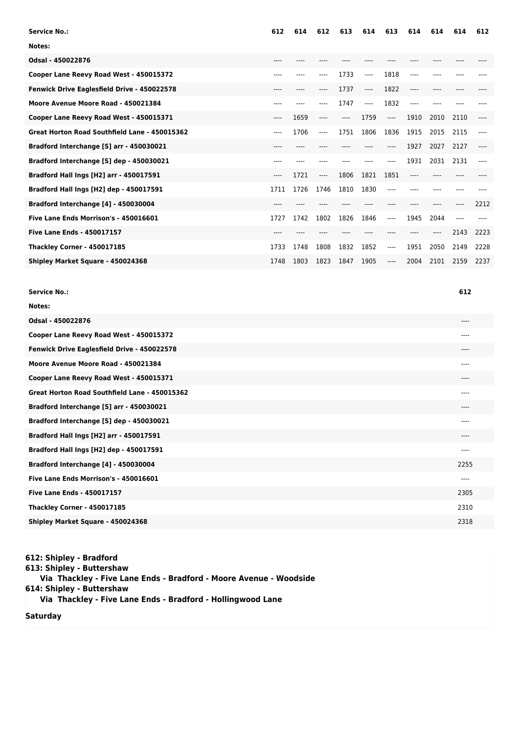| <b>Service No.:</b>                           | 612   | 614   | 612  | 613  | 614  | 613       | 614   | 614       | 614  | 612   |
|-----------------------------------------------|-------|-------|------|------|------|-----------|-------|-----------|------|-------|
| Notes:                                        |       |       |      |      |      |           |       |           |      |       |
| Odsal - 450022876                             | ----  |       |      |      |      |           |       |           |      |       |
| Cooper Lane Reevy Road West - 450015372       | ----  |       | ---- | 1733 | ---- | 1818      | ----  |           |      |       |
| Fenwick Drive Eaglesfield Drive - 450022578   | $---$ | $---$ | ---- | 1737 | ---- | 1822      | ----  | $---$     | ---- |       |
| Moore Avenue Moore Road - 450021384           | ----  |       | ---- | 1747 | ---- | 1832      | ----  |           |      |       |
| Cooper Lane Reevy Road West - 450015371       | $---$ | 1659  | ---- | ---- | 1759 | $---$     | 1910  | 2010      | 2110 | ----  |
| Great Horton Road Southfield Lane - 450015362 | $---$ | 1706  | ---- | 1751 | 1806 | 1836      | 1915  | 2015      | 2115 | $---$ |
| Bradford Interchange [S] arr - 450030021      | $---$ | $---$ |      |      |      | $- - - -$ | 1927  | 2027      | 2127 | ----  |
| Bradford Interchange [S] dep - 450030021      | ----  |       |      |      |      |           | 1931  | 2031      | 2131 | ----  |
| Bradford Hall Ings [H2] arr - 450017591       | $---$ | 1721  | ---- | 1806 | 1821 | 1851      | ----  |           |      |       |
| Bradford Hall Ings [H2] dep - 450017591       | 1711  | 1726  | 1746 | 1810 | 1830 | ----      | $---$ | $- - - -$ | ---- |       |
| Bradford Interchange [4] - 450030004          | ----  |       |      |      |      |           |       |           | ---- | 2212  |
| Five Lane Ends Morrison's - 450016601         | 1727  | 1742  | 1802 | 1826 | 1846 | ----      | 1945  | 2044      | ---- |       |
| <b>Five Lane Ends - 450017157</b>             | ----  |       |      |      |      |           |       |           | 2143 | 2223  |
| <b>Thackley Corner - 450017185</b>            | 1733  | 1748  | 1808 | 1832 | 1852 | ----      | 1951  | 2050      | 2149 | 2228  |
| Shipley Market Square - 450024368             | 1748  | 1803  | 1823 | 1847 | 1905 | ----      | 2004  | 2101      | 2159 | 2237  |

| <b>Service No.:</b>                           | 612   |
|-----------------------------------------------|-------|
| Notes:                                        |       |
| Odsal - 450022876                             | $---$ |
| Cooper Lane Reevy Road West - 450015372       | ----  |
| Fenwick Drive Eaglesfield Drive - 450022578   | $---$ |
| Moore Avenue Moore Road - 450021384           | ----  |
| Cooper Lane Reevy Road West - 450015371       | ----  |
| Great Horton Road Southfield Lane - 450015362 | $---$ |
| Bradford Interchange [S] arr - 450030021      | ----  |
| Bradford Interchange [S] dep - 450030021      | $---$ |
| Bradford Hall Ings [H2] arr - 450017591       | $---$ |
| Bradford Hall Ings [H2] dep - 450017591       | ----  |
| Bradford Interchange [4] - 450030004          | 2255  |
| Five Lane Ends Morrison's - 450016601         | $---$ |
| <b>Five Lane Ends - 450017157</b>             | 2305  |
| <b>Thackley Corner - 450017185</b>            | 2310  |
| Shipley Market Square - 450024368             | 2318  |
|                                               |       |

**612: Shipley - Bradford 613: Shipley - Buttershaw Via Thackley - Five Lane Ends - Bradford - Moore Avenue - Woodside 614: Shipley - Buttershaw Via Thackley - Five Lane Ends - Bradford - Hollingwood Lane**

**Saturday**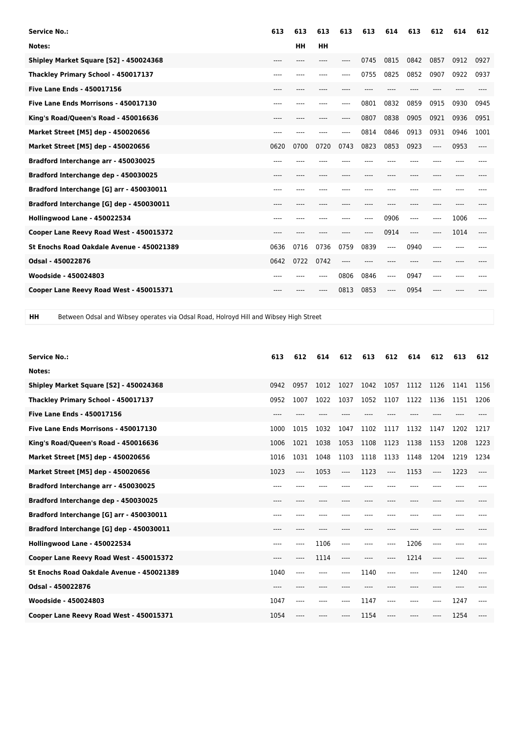| <b>Service No.:</b>                       | 613     | 613  | 613  | 613   | 613   | 614  | 613  | 612   | 614  | 612  |
|-------------------------------------------|---------|------|------|-------|-------|------|------|-------|------|------|
| Notes:                                    |         | HH   | HH   |       |       |      |      |       |      |      |
| Shipley Market Square [S2] - 450024368    | ----    |      | ---- | ----  | 0745  | 0815 | 0842 | 0857  | 0912 | 0927 |
| Thackley Primary School - 450017137       | ----    | ---- | ---- | $---$ | 0755  | 0825 | 0852 | 0907  | 0922 | 0937 |
| <b>Five Lane Ends - 450017156</b>         | ----    | ---- | ---- |       |       |      | ---- |       |      |      |
| Five Lane Ends Morrisons - 450017130      | ----    | ---- | ---- | ----  | 0801  | 0832 | 0859 | 0915  | 0930 | 0945 |
| King's Road/Queen's Road - 450016636      | $--- -$ | ---- | ---- | ----  | 0807  | 0838 | 0905 | 0921  | 0936 | 0951 |
| Market Street [M5] dep - 450020656        |         |      |      | $---$ | 0814  | 0846 | 0913 | 0931  | 0946 | 1001 |
| Market Street [M5] dep - 450020656        | 0620    | 0700 | 0720 | 0743  | 0823  | 0853 | 0923 | $---$ | 0953 | ---- |
| Bradford Interchange arr - 450030025      | $---$   |      |      |       |       |      |      |       |      |      |
| Bradford Interchange dep - 450030025      | ----    |      |      |       |       |      | ---- |       |      |      |
| Bradford Interchange [G] arr - 450030011  | $---$   |      |      |       |       |      |      |       |      |      |
| Bradford Interchange [G] dep - 450030011  | $--- -$ | ---- | ---- | ----  | $---$ | ---- | ---- | $---$ | ---- |      |
| Hollingwood Lane - 450022534              | ----    |      |      |       | $---$ | 0906 | ---- | $---$ | 1006 | ---- |
| Cooper Lane Reevy Road West - 450015372   | $--- -$ |      |      |       |       | 0914 | ---- | ----  | 1014 | ---- |
| St Enochs Road Oakdale Avenue - 450021389 | 0636    | 0716 | 0736 | 0759  | 0839  | ---- | 0940 | $---$ | ---- |      |
| Odsal - 450022876                         | 0642    | 0722 | 0742 | ----  |       |      |      |       |      |      |
| Woodside - 450024803                      | ----    |      | ---- | 0806  | 0846  | ---- | 0947 | $---$ | ---- |      |
| Cooper Lane Reevy Road West - 450015371   | $---$   |      |      | 0813  | 0853  | ---- | 0954 |       |      |      |
|                                           |         |      |      |       |       |      |      |       |      |      |

**HH** Between Odsal and Wibsey operates via Odsal Road, Holroyd Hill and Wibsey High Street

| <b>Service No.:</b>                       | 613  | 612  | 614  | 612  | 613  | 612       | 614  | 612  | 613  | 612  |
|-------------------------------------------|------|------|------|------|------|-----------|------|------|------|------|
| Notes:                                    |      |      |      |      |      |           |      |      |      |      |
| Shipley Market Square [S2] - 450024368    | 0942 | 0957 | 1012 | 1027 | 1042 | 1057      | 1112 | 1126 | 1141 | 1156 |
| Thackley Primary School - 450017137       | 0952 | 1007 | 1022 | 1037 | 1052 | 1107      | 1122 | 1136 | 1151 | 1206 |
| <b>Five Lane Ends - 450017156</b>         | ---- |      |      |      |      |           |      |      |      |      |
| Five Lane Ends Morrisons - 450017130      | 1000 | 1015 | 1032 | 1047 | 1102 | 1117      | 1132 | 1147 | 1202 | 1217 |
| King's Road/Queen's Road - 450016636      | 1006 | 1021 | 1038 | 1053 | 1108 | 1123      | 1138 | 1153 | 1208 | 1223 |
| Market Street [M5] dep - 450020656        | 1016 | 1031 | 1048 | 1103 | 1118 | 1133      | 1148 | 1204 | 1219 | 1234 |
| Market Street [M5] dep - 450020656        | 1023 | ---- | 1053 | ---- | 1123 | $---$     | 1153 | ---- | 1223 | ---- |
| Bradford Interchange arr - 450030025      | ---- |      |      |      |      |           |      |      |      |      |
| Bradford Interchange dep - 450030025      | ---- |      |      |      |      |           | ---- |      |      |      |
| Bradford Interchange [G] arr - 450030011  | ---- | ---- |      |      |      |           | ---- | ---- |      |      |
| Bradford Interchange [G] dep - 450030011  | ---- | ---- |      |      |      | $- - - -$ | ---- | ---- |      |      |
| Hollingwood Lane - 450022534              | ---- | ---- | 1106 | ---- |      | ----      | 1206 | ---- |      |      |
| Cooper Lane Reevy Road West - 450015372   | ---- | ---- | 1114 | ---- | ---- | ----      | 1214 | ---- |      |      |
| St Enochs Road Oakdale Avenue - 450021389 | 1040 | ---- | ---- | ---- | 1140 | ----      | ---- | ---- | 1240 | ---- |
| Odsal - 450022876                         |      |      |      |      |      |           |      |      |      |      |
| Woodside - 450024803                      | 1047 | ---- |      |      | 1147 | ----      | ---- |      | 1247 |      |
| Cooper Lane Reevy Road West - 450015371   | 1054 |      |      |      | 1154 | ----      |      |      | 1254 | ---- |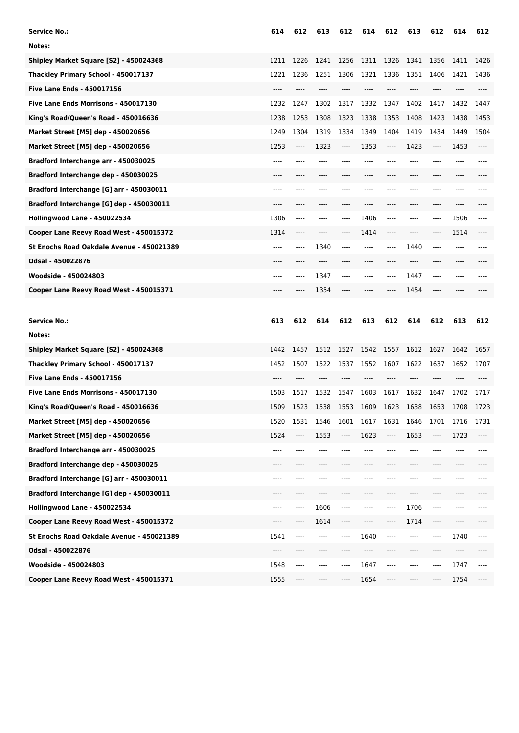| Service No.:                              | 614  | 612  | 613  | 612  | 614  | 612       | 613   | 612  | 614   | 612      |
|-------------------------------------------|------|------|------|------|------|-----------|-------|------|-------|----------|
| Notes:                                    |      |      |      |      |      |           |       |      |       |          |
| Shipley Market Square [S2] - 450024368    | 1211 | 1226 | 1241 | 1256 | 1311 | 1326      | 1341  | 1356 | 1411  | 1426     |
| Thackley Primary School - 450017137       | 1221 | 1236 | 1251 | 1306 | 1321 | 1336      | 1351  | 1406 | 1421  | 1436     |
| <b>Five Lane Ends - 450017156</b>         | ---- |      | ---- |      |      |           | ----  | ---- | ----  |          |
| Five Lane Ends Morrisons - 450017130      | 1232 | 1247 | 1302 | 1317 | 1332 | 1347      | 1402  | 1417 | 1432  | 1447     |
| King's Road/Queen's Road - 450016636      | 1238 | 1253 | 1308 | 1323 | 1338 | 1353      | 1408  | 1423 | 1438  | 1453     |
| Market Street [M5] dep - 450020656        | 1249 | 1304 | 1319 | 1334 | 1349 | 1404      | 1419  | 1434 | 1449  | 1504     |
| Market Street [M5] dep - 450020656        | 1253 | ---- | 1323 | ---- | 1353 | ----      | 1423  | ---- | 1453  | ----     |
| Bradford Interchange arr - 450030025      | ---- |      |      |      |      |           | ----  |      |       |          |
| Bradford Interchange dep - 450030025      |      |      |      |      |      |           |       |      |       |          |
| Bradford Interchange [G] arr - 450030011  | ---- |      |      |      |      |           |       |      | ----  |          |
| Bradford Interchange [G] dep - 450030011  | ---- |      |      | ---- | ---- | ----      | ----  | ---- | ----  |          |
| Hollingwood Lane - 450022534              | 1306 | ---- |      | ---- | 1406 | ----      | ----  | ---- | 1506  | ----     |
| Cooper Lane Reevy Road West - 450015372   | 1314 |      |      |      | 1414 | ----      |       | ---- | 1514  |          |
| St Enochs Road Oakdale Avenue - 450021389 | ---- | ---- | 1340 | ---- | ---- | ----      | 1440  | ---- | ----  |          |
| Odsal - 450022876                         |      |      | ---- |      |      |           | ----  | ---- | ----  |          |
| Woodside - 450024803                      |      |      | 1347 | ---- |      | ----      | 1447  | ---- |       |          |
| Cooper Lane Reevy Road West - 450015371   |      |      | 1354 |      |      |           | 1454  |      |       |          |
|                                           |      |      |      |      |      |           |       |      |       |          |
|                                           |      |      |      |      |      |           |       |      |       |          |
| <b>Service No.:</b>                       | 613  | 612  | 614  | 612  | 613  | 612       | 614   | 612  | 613   | 612      |
| Notes:                                    |      |      |      |      |      |           |       |      |       |          |
| Shipley Market Square [S2] - 450024368    | 1442 | 1457 | 1512 | 1527 | 1542 | 1557      | 1612  | 1627 | 1642  | 1657     |
| Thackley Primary School - 450017137       | 1452 | 1507 | 1522 | 1537 | 1552 | 1607      | 1622  | 1637 | 1652  | 1707     |
| <b>Five Lane Ends - 450017156</b>         | ---- | ---- |      |      |      |           | ----  | ---- |       |          |
| Five Lane Ends Morrisons - 450017130      | 1503 | 1517 | 1532 | 1547 | 1603 | 1617      | 1632  | 1647 | 1702  | 1717     |
| King's Road/Queen's Road - 450016636      | 1509 | 1523 | 1538 | 1553 | 1609 | 1623      | 1638  | 1653 | 1708  | 1723     |
| Market Street [M5] dep - 450020656        | 1520 | 1531 | 1546 | 1601 | 1617 | 1631      | 1646  | 1701 | 1716  | 1731     |
| Market Street [M5] dep - 450020656        | 1524 | ---- | 1553 | ---- | 1623 | ----      | 1653  | ---- | 1723  | ----     |
| Bradford Interchange arr - 450030025      | ---- | ---- | ---- | ---- | ---- | $---$     | ----  | ---- | ----  | ----     |
| Bradford Interchange dep - 450030025      | ---- | ---- | ---- | ---- | ---- | $---$     | $---$ | ---- | $---$ | ----     |
| Bradford Interchange [G] arr - 450030011  | ---- | ---- | ---- | ---- |      | ----      | ----  | ---- | ----  | ----     |
| Bradford Interchange [G] dep - 450030011  | ---- | ---- | ---- | ---- |      | ----      | $---$ | ---- | ----  |          |
| Hollingwood Lane - 450022534              | ---- | ---- | 1606 | ---- | ---- | ----      | 1706  | ---- | ----  | ----     |
| Cooper Lane Reevy Road West - 450015372   | ---- | ---- | 1614 | ---- | ---- | ----      | 1714  | ---- | ----  | ----     |
| St Enochs Road Oakdale Avenue - 450021389 | 1541 | ---- | ---- | ---- | 1640 | $- - - -$ | $---$ | ---- | 1740  | ----     |
| Odsal - 450022876                         | ---- | ---- | ---- | ---- |      | ----      | ----  | ---- | ----  |          |
| Woodside - 450024803                      | 1548 | ---- | ---- | ---- | 1647 | $---$     | ----  | ---- | 1747  | $\cdots$ |